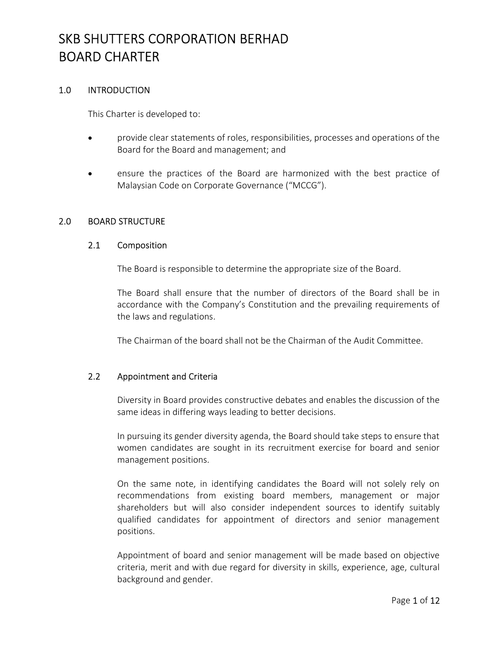### 1.0 INTRODUCTION

This Charter is developed to:

- provide clear statements of roles, responsibilities, processes and operations of the Board for the Board and management; and
- ensure the practices of the Board are harmonized with the best practice of Malaysian Code on Corporate Governance ("MCCG").

### 2.0 BOARD STRUCTURE

#### 2.1 Composition

The Board is responsible to determine the appropriate size of the Board.

The Board shall ensure that the number of directors of the Board shall be in accordance with the Company's Constitution and the prevailing requirements of the laws and regulations.

The Chairman of the board shall not be the Chairman of the Audit Committee.

### 2.2 Appointment and Criteria

Diversity in Board provides constructive debates and enables the discussion of the same ideas in differing ways leading to better decisions.

In pursuing its gender diversity agenda, the Board should take steps to ensure that women candidates are sought in its recruitment exercise for board and senior management positions.

On the same note, in identifying candidates the Board will not solely rely on recommendations from existing board members, management or major shareholders but will also consider independent sources to identify suitably qualified candidates for appointment of directors and senior management positions.

Appointment of board and senior management will be made based on objective criteria, merit and with due regard for diversity in skills, experience, age, cultural background and gender.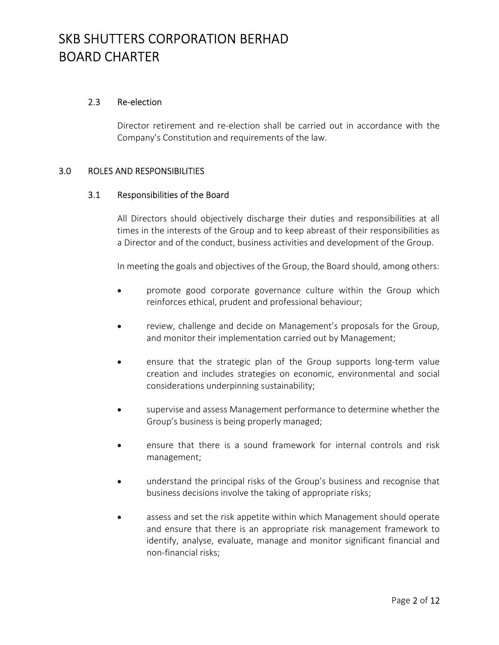### 2.3 Re-election

Director retirement and re-election shall be carried out in accordance with the Company's Constitution and requirements of the law.

### 3.0 ROLES AND RESPONSIBILITIES

### 3.1 Responsibilities of the Board

All Directors should objectively discharge their duties and responsibilities at all times in the interests of the Group and to keep abreast of their responsibilities as a Director and of the conduct, business activities and development of the Group.

In meeting the goals and objectives of the Group, the Board should, among others:

- promote good corporate governance culture within the Group which reinforces ethical, prudent and professional behaviour;
- review, challenge and decide on Management's proposals for the Group, and monitor their implementation carried out by Management;
- ensure that the strategic plan of the Group supports long-term value creation and includes strategies on economic, environmental and social considerations underpinning sustainability;
- supervise and assess Management performance to determine whether the Group's business is being properly managed;
- ensure that there is a sound framework for internal controls and risk management;
- understand the principal risks of the Group's business and recognise that business decisions involve the taking of appropriate risks;
- assess and set the risk appetite within which Management should operate and ensure that there is an appropriate risk management framework to identify, analyse, evaluate, manage and monitor significant financial and non-financial risks;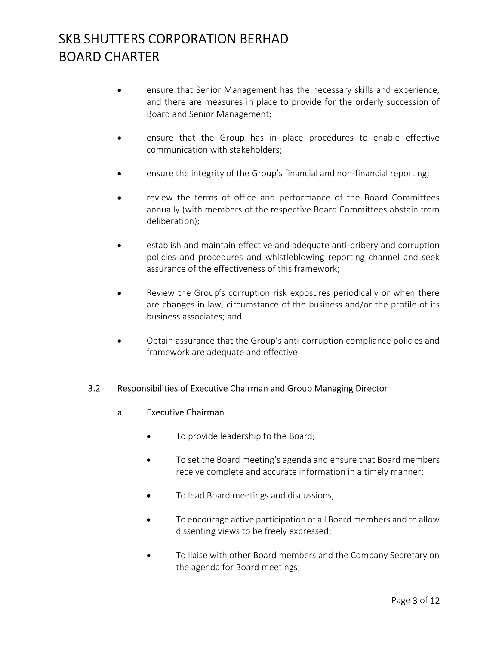- ensure that Senior Management has the necessary skills and experience, and there are measures in place to provide for the orderly succession of Board and Senior Management;
- ensure that the Group has in place procedures to enable effective communication with stakeholders;
- ensure the integrity of the Group's financial and non-financial reporting;
- review the terms of office and performance of the Board Committees annually (with members of the respective Board Committees abstain from deliberation);
- establish and maintain effective and adequate anti-bribery and corruption policies and procedures and whistleblowing reporting channel and seek assurance of the effectiveness of this framework;
- Review the Group's corruption risk exposures periodically or when there are changes in law, circumstance of the business and/or the profile of its business associates; and
- Obtain assurance that the Group's anti-corruption compliance policies and framework are adequate and effective

### 3.2 Responsibilities of Executive Chairman and Group Managing Director

#### a. Executive Chairman

- To provide leadership to the Board;
- To set the Board meeting's agenda and ensure that Board members receive complete and accurate information in a timely manner;
- To lead Board meetings and discussions;
- To encourage active participation of all Board members and to allow dissenting views to be freely expressed;
- To liaise with other Board members and the Company Secretary on the agenda for Board meetings;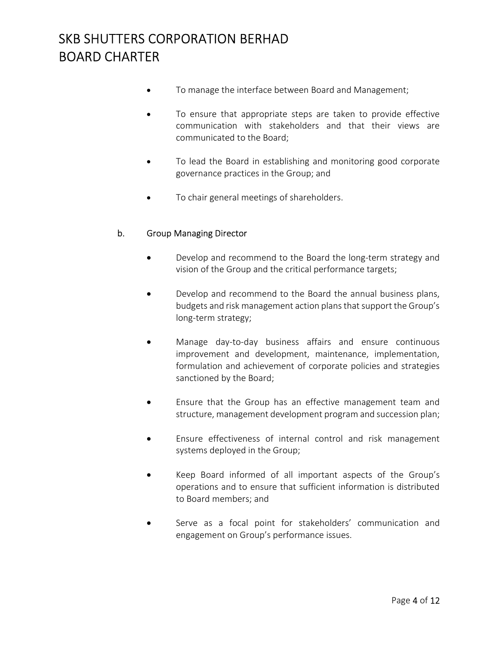- To manage the interface between Board and Management;
- To ensure that appropriate steps are taken to provide effective communication with stakeholders and that their views are communicated to the Board;
- To lead the Board in establishing and monitoring good corporate governance practices in the Group; and
- To chair general meetings of shareholders.

### b. Group Managing Director

- Develop and recommend to the Board the long-term strategy and vision of the Group and the critical performance targets;
- Develop and recommend to the Board the annual business plans, budgets and risk management action plans that support the Group's long-term strategy;
- Manage day-to-day business affairs and ensure continuous improvement and development, maintenance, implementation, formulation and achievement of corporate policies and strategies sanctioned by the Board;
- Ensure that the Group has an effective management team and structure, management development program and succession plan;
- Ensure effectiveness of internal control and risk management systems deployed in the Group;
- Keep Board informed of all important aspects of the Group's operations and to ensure that sufficient information is distributed to Board members; and
- Serve as a focal point for stakeholders' communication and engagement on Group's performance issues.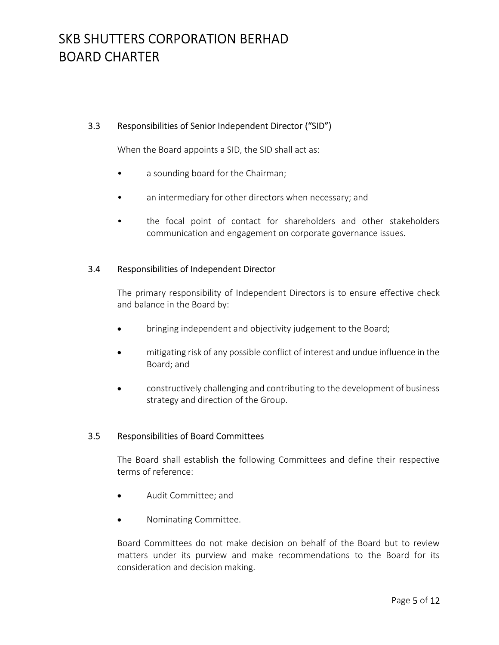## 3.3 Responsibilities of Senior Independent Director ("SID")

When the Board appoints a SID, the SID shall act as:

- a sounding board for the Chairman;
- an intermediary for other directors when necessary; and
- the focal point of contact for shareholders and other stakeholders communication and engagement on corporate governance issues.

## 3.4 Responsibilities of Independent Director

The primary responsibility of Independent Directors is to ensure effective check and balance in the Board by:

- bringing independent and objectivity judgement to the Board;
- mitigating risk of any possible conflict of interest and undue influence in the Board; and
- constructively challenging and contributing to the development of business strategy and direction of the Group.

## 3.5 Responsibilities of Board Committees

The Board shall establish the following Committees and define their respective terms of reference:

- Audit Committee; and
- Nominating Committee.

Board Committees do not make decision on behalf of the Board but to review matters under its purview and make recommendations to the Board for its consideration and decision making.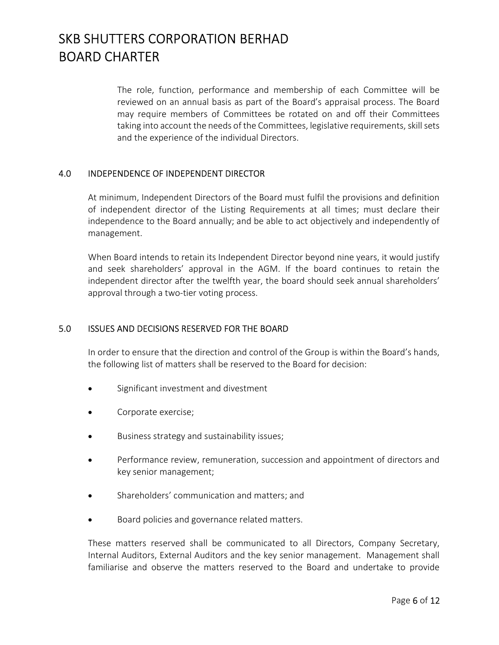The role, function, performance and membership of each Committee will be reviewed on an annual basis as part of the Board's appraisal process. The Board may require members of Committees be rotated on and off their Committees taking into account the needs of the Committees, legislative requirements, skill sets and the experience of the individual Directors.

### 4.0 INDEPENDENCE OF INDEPENDENT DIRECTOR

At minimum, Independent Directors of the Board must fulfil the provisions and definition of independent director of the Listing Requirements at all times; must declare their independence to the Board annually; and be able to act objectively and independently of management.

When Board intends to retain its Independent Director beyond nine years, it would justify and seek shareholders' approval in the AGM. If the board continues to retain the independent director after the twelfth year, the board should seek annual shareholders' approval through a two-tier voting process.

### 5.0 ISSUES AND DECISIONS RESERVED FOR THE BOARD

In order to ensure that the direction and control of the Group is within the Board's hands, the following list of matters shall be reserved to the Board for decision:

- Significant investment and divestment
- Corporate exercise;
- Business strategy and sustainability issues;
- Performance review, remuneration, succession and appointment of directors and key senior management;
- Shareholders' communication and matters; and
- Board policies and governance related matters.

These matters reserved shall be communicated to all Directors, Company Secretary, Internal Auditors, External Auditors and the key senior management. Management shall familiarise and observe the matters reserved to the Board and undertake to provide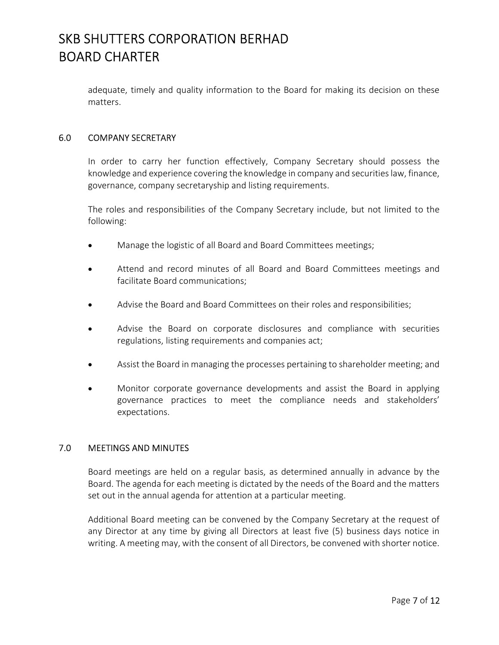adequate, timely and quality information to the Board for making its decision on these matters.

### 6.0 COMPANY SECRETARY

In order to carry her function effectively, Company Secretary should possess the knowledge and experience covering the knowledge in company and securities law, finance, governance, company secretaryship and listing requirements.

The roles and responsibilities of the Company Secretary include, but not limited to the following:

- Manage the logistic of all Board and Board Committees meetings;
- Attend and record minutes of all Board and Board Committees meetings and facilitate Board communications;
- Advise the Board and Board Committees on their roles and responsibilities;
- Advise the Board on corporate disclosures and compliance with securities regulations, listing requirements and companies act;
- Assist the Board in managing the processes pertaining to shareholder meeting; and
- Monitor corporate governance developments and assist the Board in applying governance practices to meet the compliance needs and stakeholders' expectations.

### 7.0 MEETINGS AND MINUTES

Board meetings are held on a regular basis, as determined annually in advance by the Board. The agenda for each meeting is dictated by the needs of the Board and the matters set out in the annual agenda for attention at a particular meeting.

Additional Board meeting can be convened by the Company Secretary at the request of any Director at any time by giving all Directors at least five (5) business days notice in writing. A meeting may, with the consent of all Directors, be convened with shorter notice.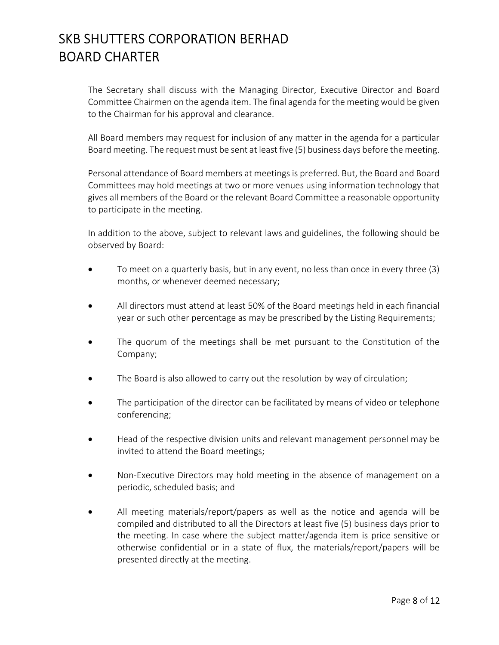The Secretary shall discuss with the Managing Director, Executive Director and Board Committee Chairmen on the agenda item. The final agenda for the meeting would be given to the Chairman for his approval and clearance.

All Board members may request for inclusion of any matter in the agenda for a particular Board meeting. The request must be sent at least five (5) business days before the meeting.

Personal attendance of Board members at meetings is preferred. But, the Board and Board Committees may hold meetings at two or more venues using information technology that gives all members of the Board or the relevant Board Committee a reasonable opportunity to participate in the meeting.

In addition to the above, subject to relevant laws and guidelines, the following should be observed by Board:

- To meet on a quarterly basis, but in any event, no less than once in every three (3) months, or whenever deemed necessary;
- All directors must attend at least 50% of the Board meetings held in each financial year or such other percentage as may be prescribed by the Listing Requirements;
- The quorum of the meetings shall be met pursuant to the Constitution of the Company;
- The Board is also allowed to carry out the resolution by way of circulation;
- The participation of the director can be facilitated by means of video or telephone conferencing;
- Head of the respective division units and relevant management personnel may be invited to attend the Board meetings;
- Non-Executive Directors may hold meeting in the absence of management on a periodic, scheduled basis; and
- All meeting materials/report/papers as well as the notice and agenda will be compiled and distributed to all the Directors at least five (5) business days prior to the meeting. In case where the subject matter/agenda item is price sensitive or otherwise confidential or in a state of flux, the materials/report/papers will be presented directly at the meeting.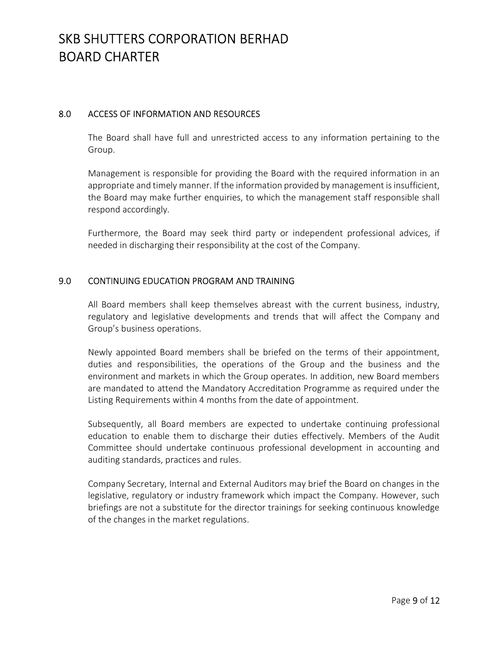### 8.0 ACCESS OF INFORMATION AND RESOURCES

The Board shall have full and unrestricted access to any information pertaining to the Group.

Management is responsible for providing the Board with the required information in an appropriate and timely manner. If the information provided by management is insufficient, the Board may make further enquiries, to which the management staff responsible shall respond accordingly.

Furthermore, the Board may seek third party or independent professional advices, if needed in discharging their responsibility at the cost of the Company.

### 9.0 CONTINUING EDUCATION PROGRAM AND TRAINING

All Board members shall keep themselves abreast with the current business, industry, regulatory and legislative developments and trends that will affect the Company and Group's business operations.

Newly appointed Board members shall be briefed on the terms of their appointment, duties and responsibilities, the operations of the Group and the business and the environment and markets in which the Group operates. In addition, new Board members are mandated to attend the Mandatory Accreditation Programme as required under the Listing Requirements within 4 months from the date of appointment.

Subsequently, all Board members are expected to undertake continuing professional education to enable them to discharge their duties effectively. Members of the Audit Committee should undertake continuous professional development in accounting and auditing standards, practices and rules.

Company Secretary, Internal and External Auditors may brief the Board on changes in the legislative, regulatory or industry framework which impact the Company. However, such briefings are not a substitute for the director trainings for seeking continuous knowledge of the changes in the market regulations.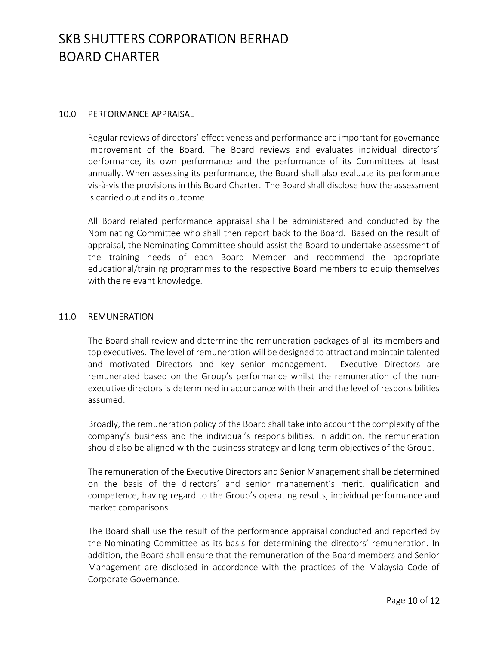### 10.0 PERFORMANCE APPRAISAL

Regular reviews of directors' effectiveness and performance are important for governance improvement of the Board. The Board reviews and evaluates individual directors' performance, its own performance and the performance of its Committees at least annually. When assessing its performance, the Board shall also evaluate its performance vis-à-vis the provisions in this Board Charter. The Board shall disclose how the assessment is carried out and its outcome.

All Board related performance appraisal shall be administered and conducted by the Nominating Committee who shall then report back to the Board. Based on the result of appraisal, the Nominating Committee should assist the Board to undertake assessment of the training needs of each Board Member and recommend the appropriate educational/training programmes to the respective Board members to equip themselves with the relevant knowledge.

### 11.0 REMUNERATION

The Board shall review and determine the remuneration packages of all its members and top executives. The level of remuneration will be designed to attract and maintain talented and motivated Directors and key senior management. Executive Directors are remunerated based on the Group's performance whilst the remuneration of the nonexecutive directors is determined in accordance with their and the level of responsibilities assumed.

Broadly, the remuneration policy of the Board shall take into account the complexity of the company's business and the individual's responsibilities. In addition, the remuneration should also be aligned with the business strategy and long-term objectives of the Group.

The remuneration of the Executive Directors and Senior Management shall be determined on the basis of the directors' and senior management's merit, qualification and competence, having regard to the Group's operating results, individual performance and market comparisons.

The Board shall use the result of the performance appraisal conducted and reported by the Nominating Committee as its basis for determining the directors' remuneration. In addition, the Board shall ensure that the remuneration of the Board members and Senior Management are disclosed in accordance with the practices of the Malaysia Code of Corporate Governance.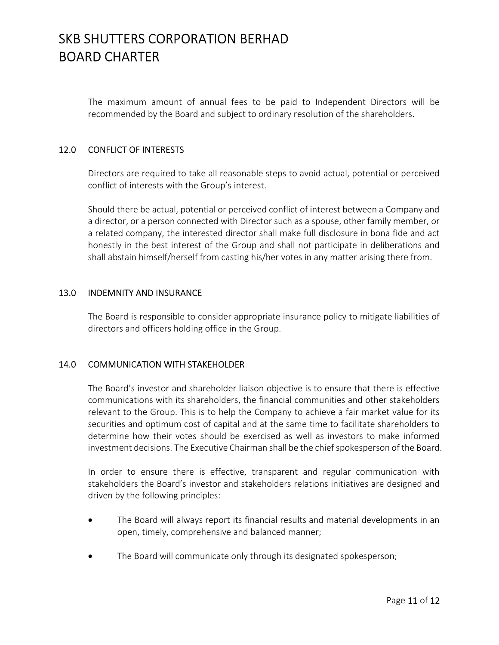The maximum amount of annual fees to be paid to Independent Directors will be recommended by the Board and subject to ordinary resolution of the shareholders.

## 12.0 CONFLICT OF INTERESTS

Directors are required to take all reasonable steps to avoid actual, potential or perceived conflict of interests with the Group's interest.

Should there be actual, potential or perceived conflict of interest between a Company and a director, or a person connected with Director such as a spouse, other family member, or a related company, the interested director shall make full disclosure in bona fide and act honestly in the best interest of the Group and shall not participate in deliberations and shall abstain himself/herself from casting his/her votes in any matter arising there from.

### 13.0 INDEMNITY AND INSURANCE

The Board is responsible to consider appropriate insurance policy to mitigate liabilities of directors and officers holding office in the Group.

## 14.0 COMMUNICATION WITH STAKEHOLDER

The Board's investor and shareholder liaison objective is to ensure that there is effective communications with its shareholders, the financial communities and other stakeholders relevant to the Group. This is to help the Company to achieve a fair market value for its securities and optimum cost of capital and at the same time to facilitate shareholders to determine how their votes should be exercised as well as investors to make informed investment decisions. The Executive Chairman shall be the chief spokesperson of the Board.

In order to ensure there is effective, transparent and regular communication with stakeholders the Board's investor and stakeholders relations initiatives are designed and driven by the following principles:

- The Board will always report its financial results and material developments in an open, timely, comprehensive and balanced manner;
- The Board will communicate only through its designated spokesperson;